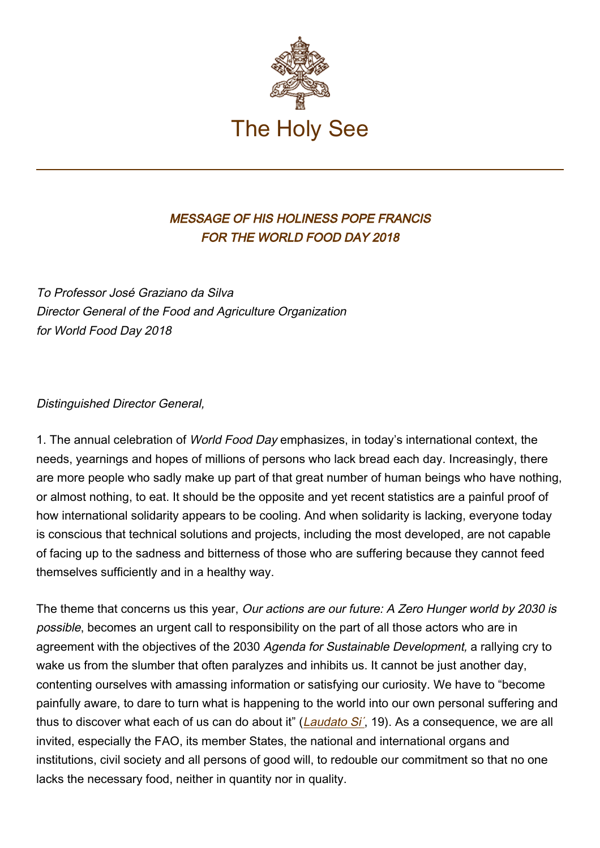

## MESSAGE OF HIS HOLINESS POPE FRANCIS FOR THE WORLD FOOD DAY 2018

To Professor José Graziano da Silva Director General of the Food and Agriculture Organization for World Food Day 2018

## Distinguished Director General,

1. The annual celebration of World Food Day emphasizes, in today's international context, the needs, yearnings and hopes of millions of persons who lack bread each day. Increasingly, there are more people who sadly make up part of that great number of human beings who have nothing, or almost nothing, to eat. It should be the opposite and yet recent statistics are a painful proof of how international solidarity appears to be cooling. And when solidarity is lacking, everyone today is conscious that technical solutions and projects, including the most developed, are not capable of facing up to the sadness and bitterness of those who are suffering because they cannot feed themselves sufficiently and in a healthy way.

The theme that concerns us this year, Our actions are our future: A Zero Hunger world by 2030 is possible, becomes an urgent call to responsibility on the part of all those actors who are in agreement with the objectives of the 2030 Agenda for Sustainable Development, a rallying cry to wake us from the slumber that often paralyzes and inhibits us. It cannot be just another day, contenting ourselves with amassing information or satisfying our curiosity. We have to "become painfully aware, to dare to turn what is happening to the world into our own personal suffering and thus to discover what each of us can do about it" (*Laudato Si'*, 19). As a consequence, we are all invited, especially the FAO, its member States, the national and international organs and institutions, civil society and all persons of good will, to redouble our commitment so that no one lacks the necessary food, neither in quantity nor in quality.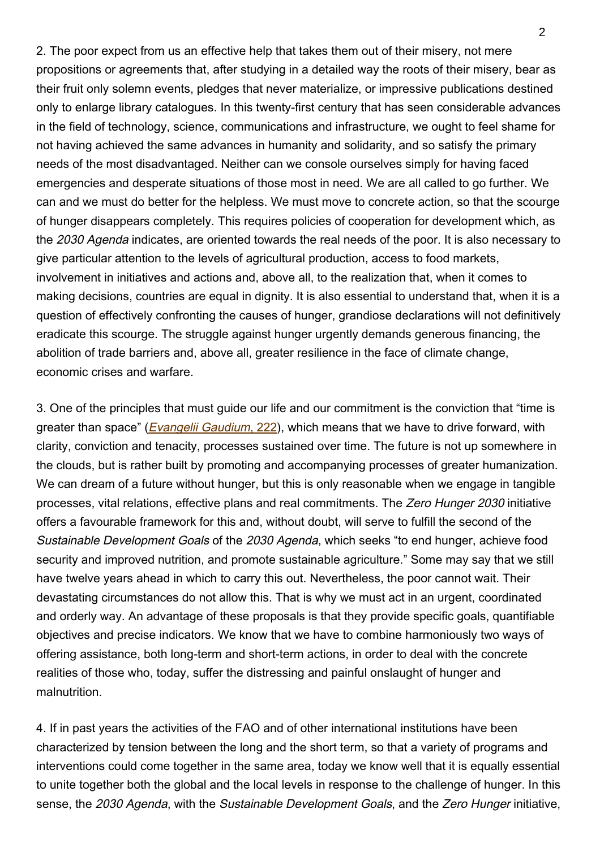2. The poor expect from us an effective help that takes them out of their misery, not mere propositions or agreements that, after studying in a detailed way the roots of their misery, bear as their fruit only solemn events, pledges that never materialize, or impressive publications destined only to enlarge library catalogues. In this twenty-first century that has seen considerable advances in the field of technology, science, communications and infrastructure, we ought to feel shame for not having achieved the same advances in humanity and solidarity, and so satisfy the primary needs of the most disadvantaged. Neither can we console ourselves simply for having faced emergencies and desperate situations of those most in need. We are all called to go further. We can and we must do better for the helpless. We must move to concrete action, so that the scourge of hunger disappears completely. This requires policies of cooperation for development which, as the 2030 Agenda indicates, are oriented towards the real needs of the poor. It is also necessary to give particular attention to the levels of agricultural production, access to food markets, involvement in initiatives and actions and, above all, to the realization that, when it comes to making decisions, countries are equal in dignity. It is also essential to understand that, when it is a question of effectively confronting the causes of hunger, grandiose declarations will not definitively eradicate this scourge. The struggle against hunger urgently demands generous financing, the abolition of trade barriers and, above all, greater resilience in the face of climate change, economic crises and warfare.

3. One of the principles that must guide our life and our commitment is the conviction that "time is greater than space" (*Evangelii Gaudium, 222*), which means that we have to drive forward, with clarity, conviction and tenacity, processes sustained over time. The future is not up somewhere in the clouds, but is rather built by promoting and accompanying processes of greater humanization. We can dream of a future without hunger, but this is only reasonable when we engage in tangible processes, vital relations, effective plans and real commitments. The Zero Hunger 2030 initiative offers a favourable framework for this and, without doubt, will serve to fulfill the second of the Sustainable Development Goals of the 2030 Agenda, which seeks "to end hunger, achieve food security and improved nutrition, and promote sustainable agriculture." Some may say that we still have twelve years ahead in which to carry this out. Nevertheless, the poor cannot wait. Their devastating circumstances do not allow this. That is why we must act in an urgent, coordinated and orderly way. An advantage of these proposals is that they provide specific goals, quantifiable objectives and precise indicators. We know that we have to combine harmoniously two ways of offering assistance, both long-term and short-term actions, in order to deal with the concrete realities of those who, today, suffer the distressing and painful onslaught of hunger and malnutrition.

4. If in past years the activities of the FAO and of other international institutions have been characterized by tension between the long and the short term, so that a variety of programs and interventions could come together in the same area, today we know well that it is equally essential to unite together both the global and the local levels in response to the challenge of hunger. In this sense, the 2030 Agenda, with the Sustainable Development Goals, and the Zero Hunger initiative,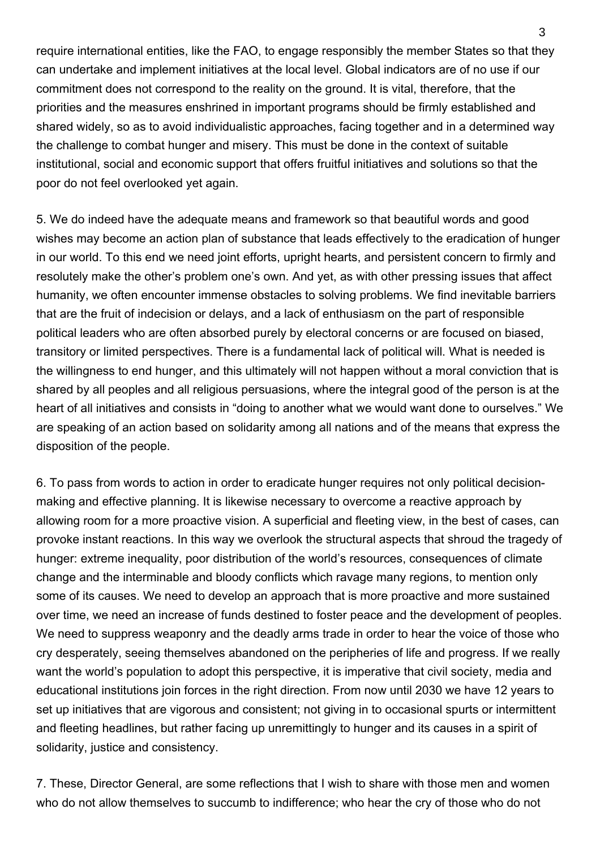require international entities, like the FAO, to engage responsibly the member States so that they can undertake and implement initiatives at the local level. Global indicators are of no use if our commitment does not correspond to the reality on the ground. It is vital, therefore, that the priorities and the measures enshrined in important programs should be firmly established and shared widely, so as to avoid individualistic approaches, facing together and in a determined way the challenge to combat hunger and misery. This must be done in the context of suitable institutional, social and economic support that offers fruitful initiatives and solutions so that the poor do not feel overlooked yet again.

5. We do indeed have the adequate means and framework so that beautiful words and good wishes may become an action plan of substance that leads effectively to the eradication of hunger in our world. To this end we need joint efforts, upright hearts, and persistent concern to firmly and resolutely make the other's problem one's own. And yet, as with other pressing issues that affect humanity, we often encounter immense obstacles to solving problems. We find inevitable barriers that are the fruit of indecision or delays, and a lack of enthusiasm on the part of responsible political leaders who are often absorbed purely by electoral concerns or are focused on biased, transitory or limited perspectives. There is a fundamental lack of political will. What is needed is the willingness to end hunger, and this ultimately will not happen without a moral conviction that is shared by all peoples and all religious persuasions, where the integral good of the person is at the heart of all initiatives and consists in "doing to another what we would want done to ourselves." We are speaking of an action based on solidarity among all nations and of the means that express the disposition of the people.

6. To pass from words to action in order to eradicate hunger requires not only political decisionmaking and effective planning. It is likewise necessary to overcome a reactive approach by allowing room for a more proactive vision. A superficial and fleeting view, in the best of cases, can provoke instant reactions. In this way we overlook the structural aspects that shroud the tragedy of hunger: extreme inequality, poor distribution of the world's resources, consequences of climate change and the interminable and bloody conflicts which ravage many regions, to mention only some of its causes. We need to develop an approach that is more proactive and more sustained over time, we need an increase of funds destined to foster peace and the development of peoples. We need to suppress weaponry and the deadly arms trade in order to hear the voice of those who cry desperately, seeing themselves abandoned on the peripheries of life and progress. If we really want the world's population to adopt this perspective, it is imperative that civil society, media and educational institutions join forces in the right direction. From now until 2030 we have 12 years to set up initiatives that are vigorous and consistent; not giving in to occasional spurts or intermittent and fleeting headlines, but rather facing up unremittingly to hunger and its causes in a spirit of solidarity, justice and consistency.

7. These, Director General, are some reflections that I wish to share with those men and women who do not allow themselves to succumb to indifference; who hear the cry of those who do not